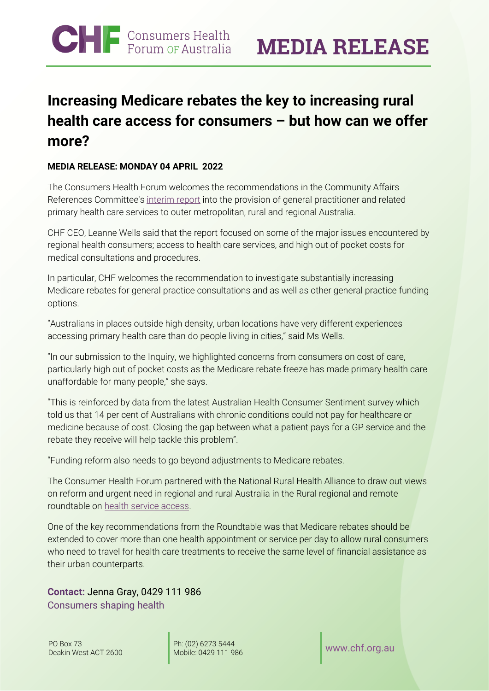## **Increasing Medicare rebates the key to increasing rural health care access for consumers – but how can we offer more?**

## **MEDIA RELEASE: MONDAY 04 APRIL 2022**

The Consumers Health Forum welcomes the recommendations in the Community Affairs References Committee's [interim report](https://parlinfo.aph.gov.au/parlInfo/download/committees/reportsen/024767/toc_pdf/Provisionofgeneralpractitionerandrelatedprimaryhealthservicestooutermetropolitan,rural,andregionalAustralians-InterimReport.pdf;fileType=application%2Fpdf) into the provision of general practitioner and related primary health care services to outer metropolitan, rural and regional Australia.

CHF CEO, Leanne Wells said that the report focused on some of the major issues encountered by regional health consumers; access to health care services, and high out of pocket costs for medical consultations and procedures.

In particular, CHF welcomes the recommendation to investigate substantially increasing Medicare rebates for general practice consultations and as well as other general practice funding options.

"Australians in places outside high density, urban locations have very different experiences accessing primary health care than do people living in cities," said Ms Wells.

"In our submission to the Inquiry, we highlighted concerns from consumers on cost of care, particularly high out of pocket costs as the Medicare rebate freeze has made primary health care unaffordable for many people," she says.

"This is reinforced by data from the latest Australian Health Consumer Sentiment survey which told us that 14 per cent of Australians with chronic conditions could not pay for healthcare or medicine because of cost. Closing the gap between what a patient pays for a GP service and the rebate they receive will help tackle this problem".

"Funding reform also needs to go beyond adjustments to Medicare rebates.

The Consumer Health Forum partnered with the National Rural Health Alliance to draw out views on reform and urgent need in regional and rural Australia in the Rural regional and remote roundtable on [health service access.](https://chf.org.au/sites/default/files/220222_rural_regional_remote_roundtable_report_final.pdf)

One of the key recommendations from the Roundtable was that Medicare rebates should be extended to cover more than one health appointment or service per day to allow rural consumers who need to travel for health care treatments to receive the same level of financial assistance as their urban counterparts.

**Contact:** Jenna Gray, 0429 111 986 Consumers shaping health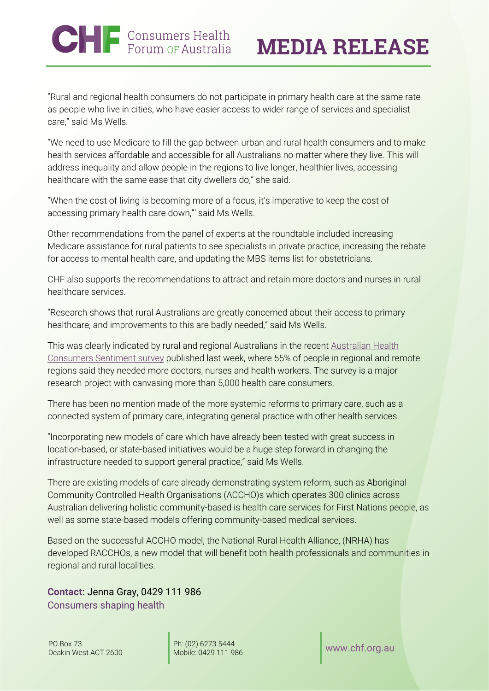"Rural and regional health consumers do not participate in primary health care at the same rate as people who live in cities, who have easier access to wider range of services and specialist care," said Ms Wells.

"We need to use Medicare to fill the gap between urban and rural health consumers and to make health services affordable and accessible for all Australians no matter where they live. This will address inequality and allow people in the regions to live longer, healthier lives, accessing healthcare with the same ease that city dwellers do," she said.

"When the cost of living is becoming more of a focus, it's imperative to keep the cost of accessing primary health care down,"' said Ms Wells.

Other recommendations from the panel of experts at the roundtable included increasing Medicare assistance for rural patients to see specialists in private practice, increasing the rebate for access to mental health care, and updating the MBS items list for obstetricians.

CHF also supports the recommendations to attract and retain more doctors and nurses in rural healthcare services.

"Research shows that rural Australians are greatly concerned about their access to primary healthcare, and improvements to this are badly needed," said Ms Wells.

This was clearly indicated by rural and regional Australians in the recent [Australian Health](https://healthsystemsustainability.com.au/the-voice-of-australian-health-consumers/)  [Consumers Sentiment survey](https://healthsystemsustainability.com.au/the-voice-of-australian-health-consumers/) published last week, where 55% of people in regional and remote regions said they needed more doctors, nurses and health workers. The survey is a major research project with canvasing more than 5,000 health care consumers.

There has been no mention made of the more systemic reforms to primary care, such as a connected system of primary care, integrating general practice with other health services.

"Incorporating new models of care which have already been tested with great success in location-based, or state-based initiatives would be a huge step forward in changing the infrastructure needed to support general practice," said Ms Wells.

There are existing models of care already demonstrating system reform, such as Aboriginal Community Controlled Health Organisations (ACCHO)s which operates 300 clinics across Australian delivering holistic community-based is health care services for First Nations people, as well as some state-based models offering community-based medical services.

Based on the successful ACCHO model, the National Rural Health Alliance, (NRHA) has developed RACCHOs, a new model that will benefit both health professionals and communities in regional and rural localities.

**Contact:** Jenna Gray, 0429 111 986 Consumers shaping health

Ph: (02) 6273 5444